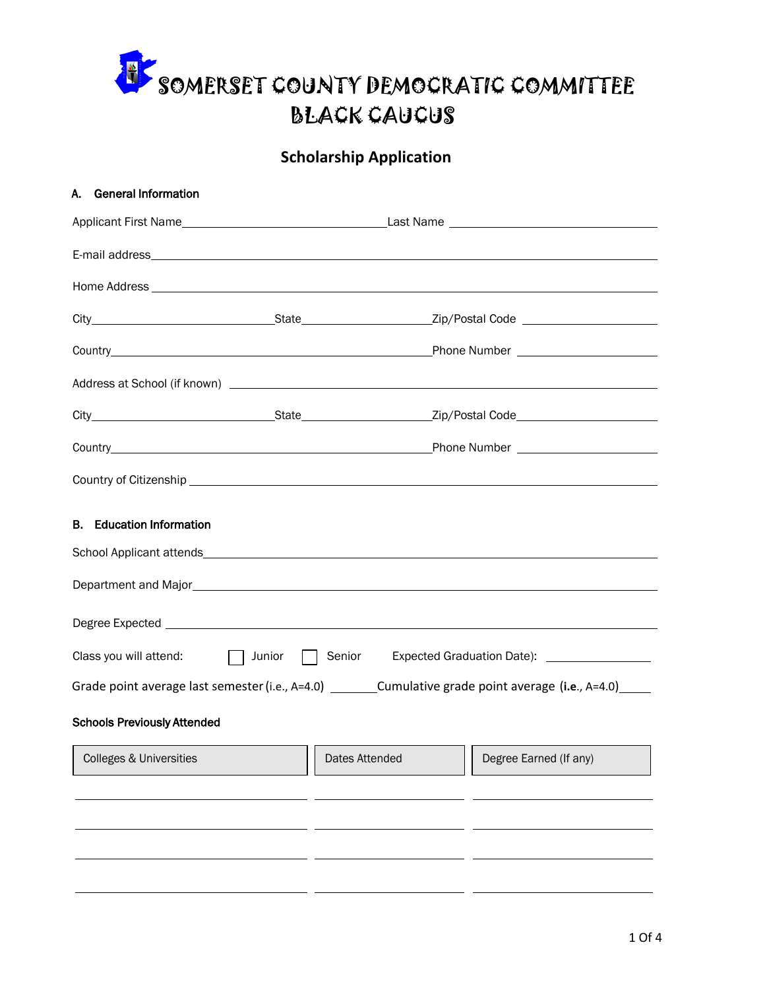

## **Scholarship Application**

| A. General Information                             |                                                                                                                                                                                                                                                        |                                                                                                                                                                                                                                                                |
|----------------------------------------------------|--------------------------------------------------------------------------------------------------------------------------------------------------------------------------------------------------------------------------------------------------------|----------------------------------------------------------------------------------------------------------------------------------------------------------------------------------------------------------------------------------------------------------------|
|                                                    |                                                                                                                                                                                                                                                        |                                                                                                                                                                                                                                                                |
|                                                    |                                                                                                                                                                                                                                                        |                                                                                                                                                                                                                                                                |
|                                                    |                                                                                                                                                                                                                                                        |                                                                                                                                                                                                                                                                |
|                                                    |                                                                                                                                                                                                                                                        |                                                                                                                                                                                                                                                                |
|                                                    |                                                                                                                                                                                                                                                        |                                                                                                                                                                                                                                                                |
|                                                    |                                                                                                                                                                                                                                                        |                                                                                                                                                                                                                                                                |
|                                                    |                                                                                                                                                                                                                                                        |                                                                                                                                                                                                                                                                |
|                                                    |                                                                                                                                                                                                                                                        |                                                                                                                                                                                                                                                                |
|                                                    |                                                                                                                                                                                                                                                        |                                                                                                                                                                                                                                                                |
| <b>B.</b> Education Information                    |                                                                                                                                                                                                                                                        |                                                                                                                                                                                                                                                                |
|                                                    |                                                                                                                                                                                                                                                        |                                                                                                                                                                                                                                                                |
| Class you will attend: $\Box$ Junior $\Box$ Senior |                                                                                                                                                                                                                                                        | Expected Graduation Date): __________________                                                                                                                                                                                                                  |
|                                                    |                                                                                                                                                                                                                                                        | Grade point average last semester (i.e., A=4.0) __________Cumulative grade point average (i.e., A=4.0) ______                                                                                                                                                  |
| <b>Schools Previously Attended</b>                 |                                                                                                                                                                                                                                                        |                                                                                                                                                                                                                                                                |
| Colleges & Universities                            | <u> The Common Section of the Common Section of the Common Section of the Common Section of the Common Section of the Common Section of the Common Section of the Common Section of the Common Section of the Common Section of </u><br>Dates Attended | <u> The Common Section of the Common Section of the Common Section of the Common Section of the Common Section of the Common Section of the Common Section of the Common Section of the Common Section of the Common Section of </u><br>Degree Earned (If any) |
|                                                    |                                                                                                                                                                                                                                                        |                                                                                                                                                                                                                                                                |
|                                                    |                                                                                                                                                                                                                                                        |                                                                                                                                                                                                                                                                |
|                                                    |                                                                                                                                                                                                                                                        |                                                                                                                                                                                                                                                                |
|                                                    |                                                                                                                                                                                                                                                        |                                                                                                                                                                                                                                                                |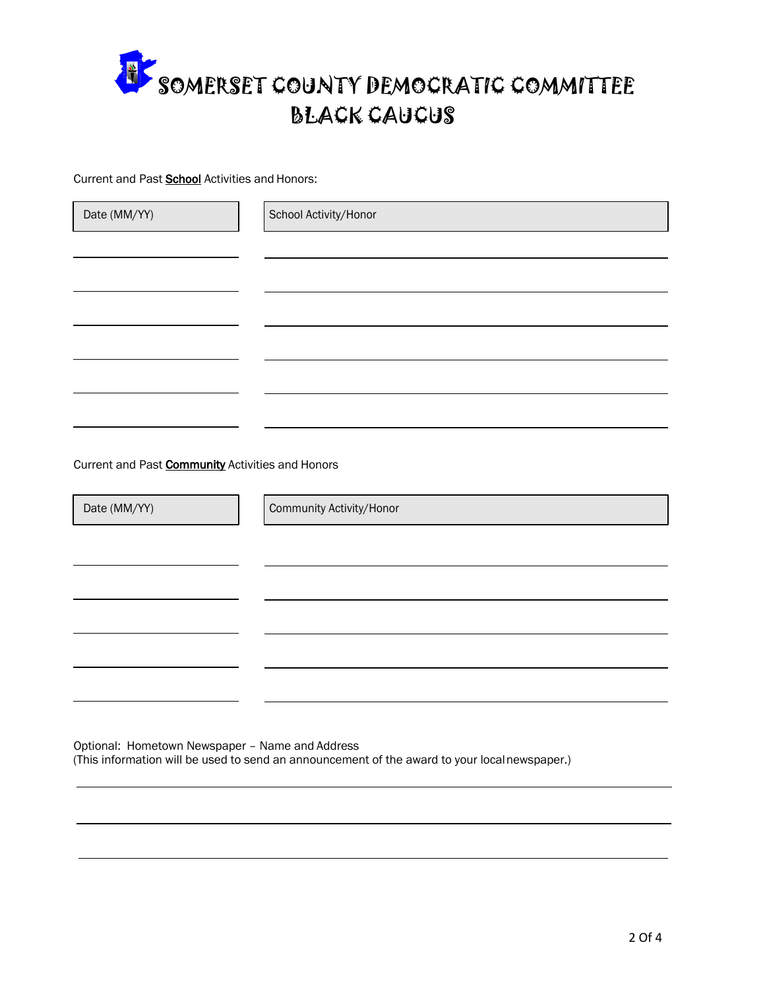

Current and Past **School** Activities and Honors:

| Date (MM/YY)                                            | School Activity/Honor    |
|---------------------------------------------------------|--------------------------|
|                                                         |                          |
|                                                         |                          |
|                                                         |                          |
|                                                         |                          |
|                                                         |                          |
|                                                         |                          |
|                                                         |                          |
| Current and Past <b>Community</b> Activities and Honors |                          |
| Date (MM/YY)                                            | Community Activity/Honor |
|                                                         |                          |
|                                                         |                          |
|                                                         |                          |
|                                                         |                          |
|                                                         |                          |
|                                                         |                          |

Optional: Hometown Newspaper – Name and Address (This information will be used to send an announcement of the award to your localnewspaper.)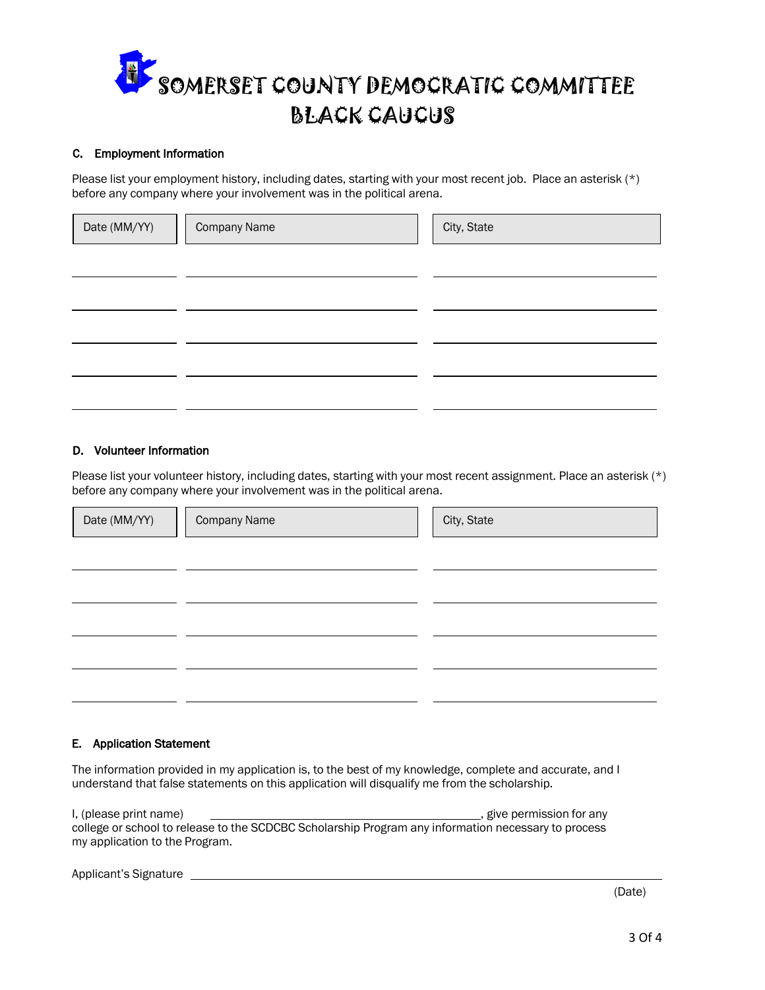

## C. Employment Information

Please list your employment history, including dates, starting with your most recent job. Place an asterisk (\*) before any company where your involvement was in the political arena.

| Date (MM/YY) | <b>Company Name</b> | City, State |  |  |
|--------------|---------------------|-------------|--|--|
|              |                     |             |  |  |
|              |                     |             |  |  |
|              |                     |             |  |  |
|              |                     |             |  |  |
|              |                     |             |  |  |

## D. Volunteer Information

Please list your volunteer history, including dates, starting with your most recent assignment. Place an asterisk (\*) before any company where your involvement was in the political arena.

| Date (MM/YY) | <b>Company Name</b> | City, State |
|--------------|---------------------|-------------|
|              |                     |             |
|              |                     |             |
|              |                     |             |
|              |                     |             |
|              |                     |             |

## E. Application Statement

The information provided in my application is, to the best of my knowledge, complete and accurate, and I understand that false statements on this application will disqualify me from the scholarship.

I, (please print name)  $\qquad \qquad$  give permission for any college or school to release to the SCDCBC Scholarship Program any information necessary to process my application to the Program.

Applicant's Signature

(Date)